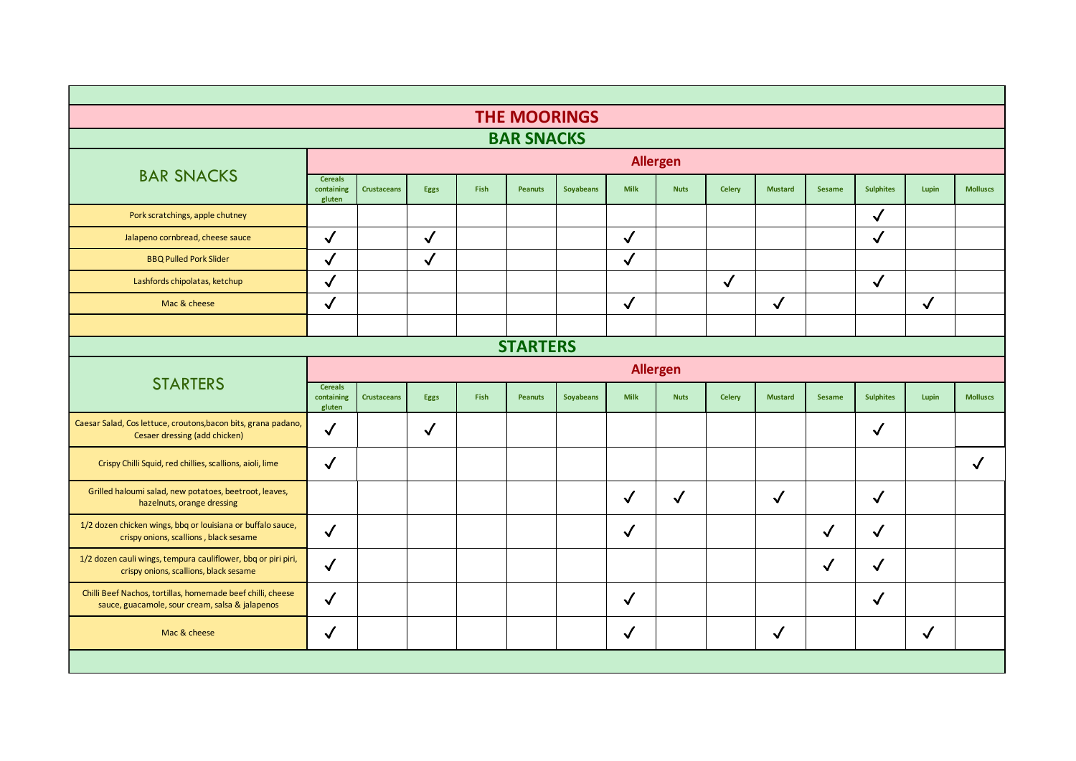|                                                                                                                |                                        |                    |              |      | <b>THE MOORINGS</b> |                  |              |                 |               |                |               |                  |              |                 |
|----------------------------------------------------------------------------------------------------------------|----------------------------------------|--------------------|--------------|------|---------------------|------------------|--------------|-----------------|---------------|----------------|---------------|------------------|--------------|-----------------|
|                                                                                                                |                                        |                    |              |      | <b>BAR SNACKS</b>   |                  |              |                 |               |                |               |                  |              |                 |
| <b>BAR SNACKS</b>                                                                                              |                                        |                    |              |      |                     |                  |              | <b>Allergen</b> |               |                |               |                  |              |                 |
|                                                                                                                | <b>Cereals</b><br>containing<br>gluten | <b>Crustaceans</b> | Eggs         | Fish | <b>Peanuts</b>      | <b>Soyabeans</b> | <b>Milk</b>  | <b>Nuts</b>     | <b>Celery</b> | <b>Mustard</b> | <b>Sesame</b> | <b>Sulphites</b> | Lupin        | <b>Molluscs</b> |
| Pork scratchings, apple chutney                                                                                |                                        |                    |              |      |                     |                  |              |                 |               |                |               | $\checkmark$     |              |                 |
| Jalapeno cornbread, cheese sauce                                                                               | $\checkmark$                           |                    | $\sqrt{2}$   |      |                     |                  | $\checkmark$ |                 |               |                |               | $\checkmark$     |              |                 |
| <b>BBQ Pulled Pork Slider</b>                                                                                  | $\checkmark$                           |                    | $\checkmark$ |      |                     |                  | $\checkmark$ |                 |               |                |               |                  |              |                 |
| Lashfords chipolatas, ketchup                                                                                  | $\checkmark$                           |                    |              |      |                     |                  |              |                 | $\checkmark$  |                |               | $\checkmark$     |              |                 |
| Mac & cheese                                                                                                   | $\checkmark$                           |                    |              |      |                     |                  | $\checkmark$ |                 |               | $\checkmark$   |               |                  | $\checkmark$ |                 |
|                                                                                                                |                                        |                    |              |      |                     |                  |              |                 |               |                |               |                  |              |                 |
| <b>STARTERS</b>                                                                                                |                                        |                    |              |      |                     |                  |              |                 |               |                |               |                  |              |                 |
| <b>STARTERS</b>                                                                                                |                                        | <b>Allergen</b>    |              |      |                     |                  |              |                 |               |                |               |                  |              |                 |
|                                                                                                                | <b>Cereals</b><br>containing<br>gluten | <b>Crustaceans</b> | <b>Eggs</b>  | Fish | <b>Peanuts</b>      | <b>Soyabeans</b> | <b>Milk</b>  | <b>Nuts</b>     | <b>Celery</b> | <b>Mustard</b> | <b>Sesame</b> | <b>Sulphites</b> | Lupin        | <b>Molluscs</b> |
| Caesar Salad, Cos lettuce, croutons, bacon bits, grana padano,<br>Cesaer dressing (add chicken)                | $\checkmark$                           |                    | $\checkmark$ |      |                     |                  |              |                 |               |                |               | $\checkmark$     |              |                 |
| Crispy Chilli Squid, red chillies, scallions, aioli, lime                                                      | $\checkmark$                           |                    |              |      |                     |                  |              |                 |               |                |               |                  |              | $\checkmark$    |
| Grilled haloumi salad, new potatoes, beetroot, leaves,<br>hazelnuts, orange dressing                           |                                        |                    |              |      |                     |                  | $\checkmark$ | $\sqrt{}$       |               | $\checkmark$   |               | $\checkmark$     |              |                 |
| 1/2 dozen chicken wings, bbq or louisiana or buffalo sauce,<br>crispy onions, scallions, black sesame          | $\checkmark$                           |                    |              |      |                     |                  | ✓            |                 |               |                | $\checkmark$  | $\checkmark$     |              |                 |
| 1/2 dozen cauli wings, tempura cauliflower, bbq or piri piri,<br>crispy onions, scallions, black sesame        | $\checkmark$                           |                    |              |      |                     |                  |              |                 |               |                | $\checkmark$  | $\sqrt{2}$       |              |                 |
| Chilli Beef Nachos, tortillas, homemade beef chilli, cheese<br>sauce, guacamole, sour cream, salsa & jalapenos | $\checkmark$                           |                    |              |      |                     |                  | $\checkmark$ |                 |               |                |               | $\checkmark$     |              |                 |
| Mac & cheese                                                                                                   | $\checkmark$                           |                    |              |      |                     |                  | √            |                 |               | $\checkmark$   |               |                  | $\checkmark$ |                 |
|                                                                                                                |                                        |                    |              |      |                     |                  |              |                 |               |                |               |                  |              |                 |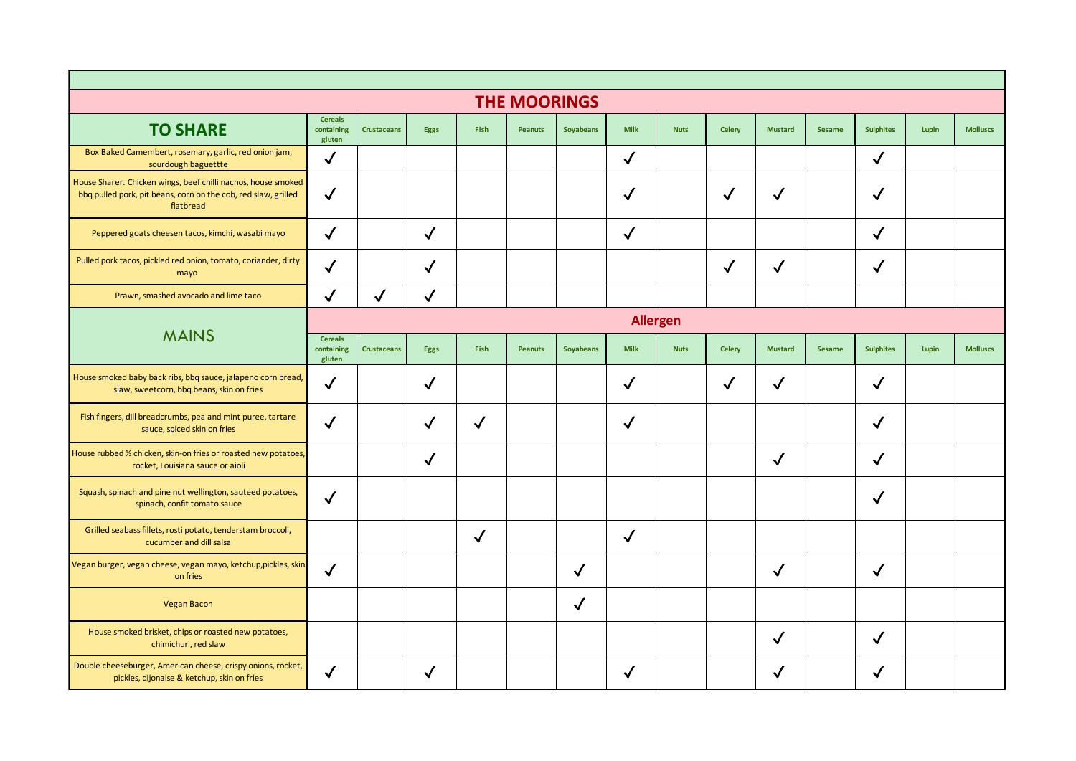|                                                                                                                                              |                                        |                    |              |              | <b>THE MOORINGS</b> |                  |              |             |               |                |               |                  |       |                 |
|----------------------------------------------------------------------------------------------------------------------------------------------|----------------------------------------|--------------------|--------------|--------------|---------------------|------------------|--------------|-------------|---------------|----------------|---------------|------------------|-------|-----------------|
| <b>TO SHARE</b>                                                                                                                              | <b>Cereals</b><br>containing<br>gluten | <b>Crustaceans</b> | Eggs         | Fish         | <b>Peanuts</b>      | <b>Soyabeans</b> | <b>Milk</b>  | <b>Nuts</b> | <b>Celery</b> | <b>Mustard</b> | <b>Sesame</b> | <b>Sulphites</b> | Lupin | <b>Molluscs</b> |
| Box Baked Camembert, rosemary, garlic, red onion jam,<br>sourdough baguettte                                                                 | $\checkmark$                           |                    |              |              |                     |                  | $\checkmark$ |             |               |                |               | $\checkmark$     |       |                 |
| House Sharer. Chicken wings, beef chilli nachos, house smoked<br>bbq pulled pork, pit beans, corn on the cob, red slaw, grilled<br>flatbread | $\checkmark$                           |                    |              |              |                     |                  | $\checkmark$ |             | $\checkmark$  | $\checkmark$   |               | $\checkmark$     |       |                 |
| Peppered goats cheesen tacos, kimchi, wasabi mayo                                                                                            | $\checkmark$                           |                    | $\checkmark$ |              |                     |                  | $\checkmark$ |             |               |                |               | $\checkmark$     |       |                 |
| Pulled pork tacos, pickled red onion, tomato, coriander, dirty<br>mayo                                                                       | $\checkmark$                           |                    | $\checkmark$ |              |                     |                  |              |             | $\checkmark$  | $\checkmark$   |               | $\checkmark$     |       |                 |
| Prawn, smashed avocado and lime taco                                                                                                         | $\checkmark$                           | $\checkmark$       | $\checkmark$ |              |                     |                  |              |             |               |                |               |                  |       |                 |
| <b>MAINS</b>                                                                                                                                 | <b>Allergen</b>                        |                    |              |              |                     |                  |              |             |               |                |               |                  |       |                 |
|                                                                                                                                              | <b>Cereals</b><br>containing<br>gluten | <b>Crustaceans</b> | <b>Eggs</b>  | Fish         | <b>Peanuts</b>      | <b>Soyabeans</b> | <b>Milk</b>  | <b>Nuts</b> | <b>Celery</b> | <b>Mustard</b> | <b>Sesame</b> | <b>Sulphites</b> | Lupin | <b>Molluscs</b> |
| House smoked baby back ribs, bbq sauce, jalapeno corn bread,<br>slaw, sweetcorn, bbq beans, skin on fries                                    | ✓                                      |                    | $\checkmark$ |              |                     |                  | $\checkmark$ |             | $\checkmark$  | $\checkmark$   |               | $\checkmark$     |       |                 |
| Fish fingers, dill breadcrumbs, pea and mint puree, tartare<br>sauce, spiced skin on fries                                                   | $\checkmark$                           |                    | $\checkmark$ | $\checkmark$ |                     |                  | $\checkmark$ |             |               |                |               | $\checkmark$     |       |                 |
| House rubbed 1/2 chicken, skin-on fries or roasted new potatoes,<br>rocket, Louisiana sauce or aioli                                         |                                        |                    | $\checkmark$ |              |                     |                  |              |             |               | $\checkmark$   |               | $\checkmark$     |       |                 |
| Squash, spinach and pine nut wellington, sauteed potatoes,<br>spinach, confit tomato sauce                                                   | $\checkmark$                           |                    |              |              |                     |                  |              |             |               |                |               | $\checkmark$     |       |                 |
| Grilled seabass fillets, rosti potato, tenderstam broccoli,<br>cucumber and dill salsa                                                       |                                        |                    |              | $\checkmark$ |                     |                  | $\checkmark$ |             |               |                |               |                  |       |                 |
| Vegan burger, vegan cheese, vegan mayo, ketchup,pickles, skin<br>on fries                                                                    | $\checkmark$                           |                    |              |              |                     | $\checkmark$     |              |             |               | $\checkmark$   |               | $\checkmark$     |       |                 |
| <b>Vegan Bacon</b>                                                                                                                           |                                        |                    |              |              |                     | $\checkmark$     |              |             |               |                |               |                  |       |                 |
| House smoked brisket, chips or roasted new potatoes,<br>chimichuri, red slaw                                                                 |                                        |                    |              |              |                     |                  |              |             |               | $\checkmark$   |               | $\checkmark$     |       |                 |
| Double cheeseburger, American cheese, crispy onions, rocket,<br>pickles, dijonaise & ketchup, skin on fries                                  | $\checkmark$                           |                    | $\checkmark$ |              |                     |                  | ✓            |             |               | ✓              |               | $\checkmark$     |       |                 |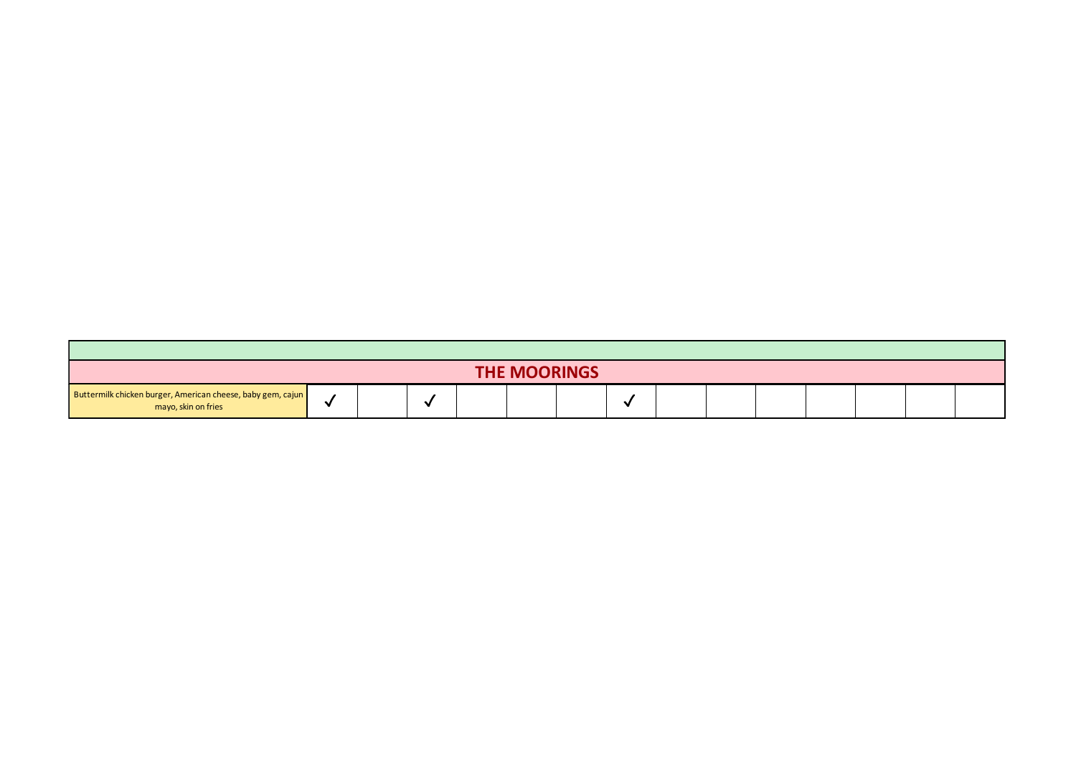| <b>THE MOORINGS</b>                                                                |  |  |  |  |  |  |     |  |  |  |  |  |  |  |
|------------------------------------------------------------------------------------|--|--|--|--|--|--|-----|--|--|--|--|--|--|--|
| Buttermilk chicken burger, American cheese, baby gem, cajun<br>mayo, skin on fries |  |  |  |  |  |  | . . |  |  |  |  |  |  |  |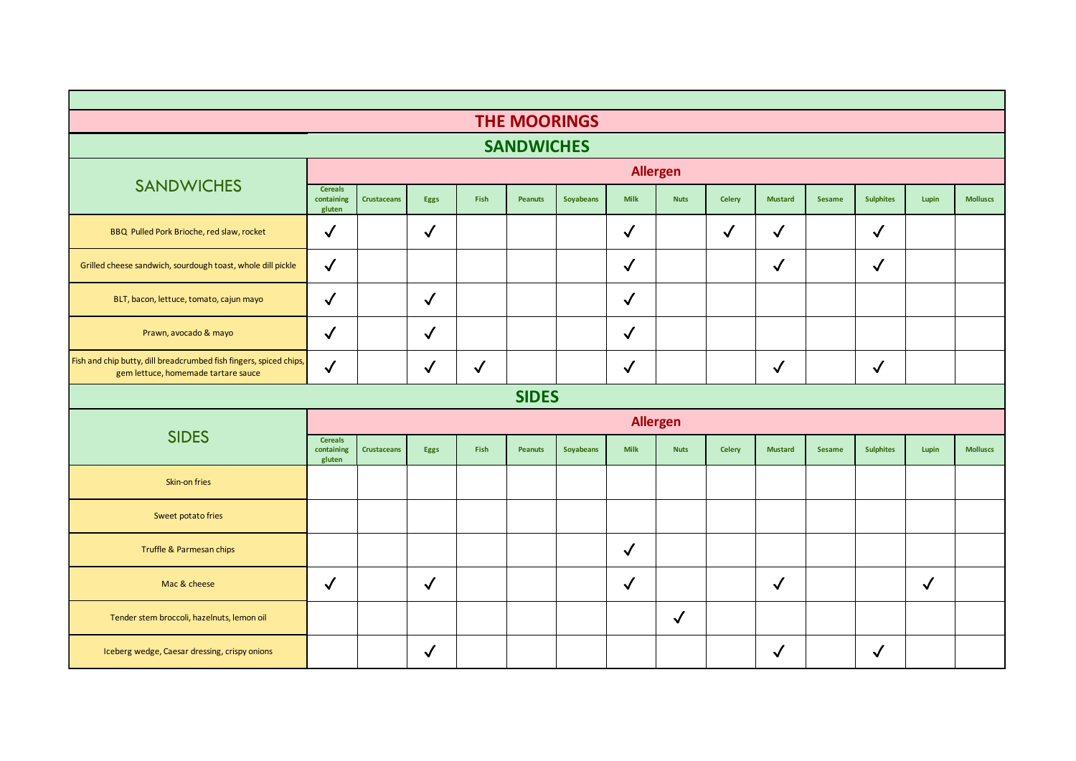|                                                                                                           |                                        |                    |              |              | <b>THE MOORINGS</b> |                  |                 |              |               |                |               |                  |              |                 |
|-----------------------------------------------------------------------------------------------------------|----------------------------------------|--------------------|--------------|--------------|---------------------|------------------|-----------------|--------------|---------------|----------------|---------------|------------------|--------------|-----------------|
| <b>SANDWICHES</b>                                                                                         |                                        |                    |              |              |                     |                  |                 |              |               |                |               |                  |              |                 |
|                                                                                                           |                                        |                    |              |              |                     |                  | <b>Allergen</b> |              |               |                |               |                  |              |                 |
| <b>SANDWICHES</b>                                                                                         | <b>Cereals</b><br>containing<br>gluten | <b>Crustaceans</b> | <b>Eggs</b>  | Fish         | <b>Peanuts</b>      | <b>Soyabeans</b> | <b>Milk</b>     | <b>Nuts</b>  | <b>Celery</b> | <b>Mustard</b> | <b>Sesame</b> | <b>Sulphites</b> | Lupin        | <b>Molluscs</b> |
| BBQ Pulled Pork Brioche, red slaw, rocket                                                                 | $\checkmark$                           |                    | $\checkmark$ |              |                     |                  | $\checkmark$    |              | $\checkmark$  | $\checkmark$   |               | $\checkmark$     |              |                 |
| Grilled cheese sandwich, sourdough toast, whole dill pickle                                               | $\checkmark$                           |                    |              |              |                     |                  | $\checkmark$    |              |               | $\checkmark$   |               | $\checkmark$     |              |                 |
| BLT, bacon, lettuce, tomato, cajun mayo                                                                   | $\checkmark$                           |                    | $\checkmark$ |              |                     |                  | $\checkmark$    |              |               |                |               |                  |              |                 |
| Prawn, avocado & mayo                                                                                     | $\checkmark$                           |                    | $\checkmark$ |              |                     |                  | $\checkmark$    |              |               |                |               |                  |              |                 |
| Fish and chip butty, dill breadcrumbed fish fingers, spiced chips,<br>gem lettuce, homemade tartare sauce | $\checkmark$                           |                    | $\checkmark$ | $\checkmark$ |                     |                  | $\checkmark$    |              |               | $\checkmark$   |               | $\checkmark$     |              |                 |
| <b>SIDES</b>                                                                                              |                                        |                    |              |              |                     |                  |                 |              |               |                |               |                  |              |                 |
|                                                                                                           | <b>Allergen</b>                        |                    |              |              |                     |                  |                 |              |               |                |               |                  |              |                 |
| <b>SIDES</b>                                                                                              | <b>Cereals</b><br>containing<br>gluten | <b>Crustaceans</b> | Eggs         | Fish         | <b>Peanuts</b>      | <b>Soyabeans</b> | <b>Milk</b>     | <b>Nuts</b>  | <b>Celery</b> | <b>Mustard</b> | <b>Sesame</b> | <b>Sulphites</b> | Lupin        | <b>Molluscs</b> |
| Skin-on fries                                                                                             |                                        |                    |              |              |                     |                  |                 |              |               |                |               |                  |              |                 |
| Sweet potato fries                                                                                        |                                        |                    |              |              |                     |                  |                 |              |               |                |               |                  |              |                 |
| Truffle & Parmesan chips                                                                                  |                                        |                    |              |              |                     |                  | $\checkmark$    |              |               |                |               |                  |              |                 |
| Mac & cheese                                                                                              | $\checkmark$                           |                    | $\checkmark$ |              |                     |                  | $\checkmark$    |              |               | $\checkmark$   |               |                  | $\checkmark$ |                 |
| Tender stem broccoli, hazelnuts, lemon oil                                                                |                                        |                    |              |              |                     |                  |                 | $\checkmark$ |               |                |               |                  |              |                 |
| Iceberg wedge, Caesar dressing, crispy onions                                                             |                                        |                    | $\checkmark$ |              |                     |                  |                 |              |               | $\checkmark$   |               | $\checkmark$     |              |                 |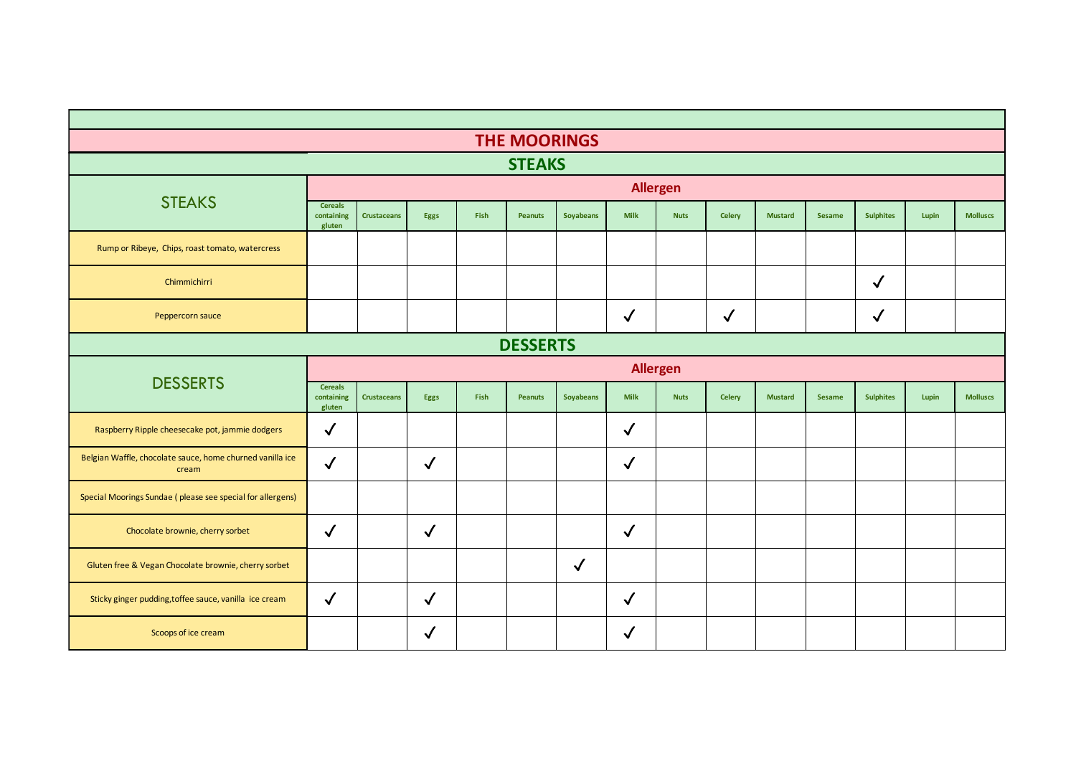| <b>THE MOORINGS</b>                                                |                                        |                    |              |      |                |                  |              |                 |               |                |               |                  |       |                 |
|--------------------------------------------------------------------|----------------------------------------|--------------------|--------------|------|----------------|------------------|--------------|-----------------|---------------|----------------|---------------|------------------|-------|-----------------|
| <b>STEAKS</b>                                                      |                                        |                    |              |      |                |                  |              |                 |               |                |               |                  |       |                 |
|                                                                    |                                        |                    |              |      |                |                  |              | <b>Allergen</b> |               |                |               |                  |       |                 |
| <b>STEAKS</b>                                                      | <b>Cereals</b><br>containing<br>gluten | <b>Crustaceans</b> | Eggs         | Fish | <b>Peanuts</b> | <b>Soyabeans</b> | <b>Milk</b>  | <b>Nuts</b>     | <b>Celery</b> | <b>Mustard</b> | <b>Sesame</b> | <b>Sulphites</b> | Lupin | <b>Molluscs</b> |
| Rump or Ribeye, Chips, roast tomato, watercress                    |                                        |                    |              |      |                |                  |              |                 |               |                |               |                  |       |                 |
| Chimmichirri                                                       |                                        |                    |              |      |                |                  |              |                 |               |                |               | $\checkmark$     |       |                 |
| Peppercorn sauce                                                   |                                        |                    |              |      |                |                  | $\sqrt{}$    |                 | $\sqrt{2}$    |                |               | $\checkmark$     |       |                 |
| <b>DESSERTS</b>                                                    |                                        |                    |              |      |                |                  |              |                 |               |                |               |                  |       |                 |
|                                                                    | <b>Allergen</b>                        |                    |              |      |                |                  |              |                 |               |                |               |                  |       |                 |
| <b>DESSERTS</b>                                                    | <b>Cereals</b><br>containing<br>gluten | <b>Crustaceans</b> | Eggs         | Fish | <b>Peanuts</b> | <b>Soyabeans</b> | <b>Milk</b>  | <b>Nuts</b>     | <b>Celery</b> | <b>Mustard</b> | <b>Sesame</b> | <b>Sulphites</b> | Lupin | <b>Molluscs</b> |
| Raspberry Ripple cheesecake pot, jammie dodgers                    | $\blacktriangledown$                   |                    |              |      |                |                  | $\checkmark$ |                 |               |                |               |                  |       |                 |
| Belgian Waffle, chocolate sauce, home churned vanilla ice<br>cream | $\checkmark$                           |                    | $\checkmark$ |      |                |                  | $\checkmark$ |                 |               |                |               |                  |       |                 |
| Special Moorings Sundae (please see special for allergens)         |                                        |                    |              |      |                |                  |              |                 |               |                |               |                  |       |                 |
| Chocolate brownie, cherry sorbet                                   | $\checkmark$                           |                    | $\checkmark$ |      |                |                  | $\checkmark$ |                 |               |                |               |                  |       |                 |
| Gluten free & Vegan Chocolate brownie, cherry sorbet               |                                        |                    |              |      |                | $\checkmark$     |              |                 |               |                |               |                  |       |                 |
| Sticky ginger pudding, toffee sauce, vanilla ice cream             | $\checkmark$                           |                    | $\checkmark$ |      |                |                  | $\checkmark$ |                 |               |                |               |                  |       |                 |
| Scoops of ice cream                                                |                                        |                    | $\checkmark$ |      |                |                  | $\checkmark$ |                 |               |                |               |                  |       |                 |